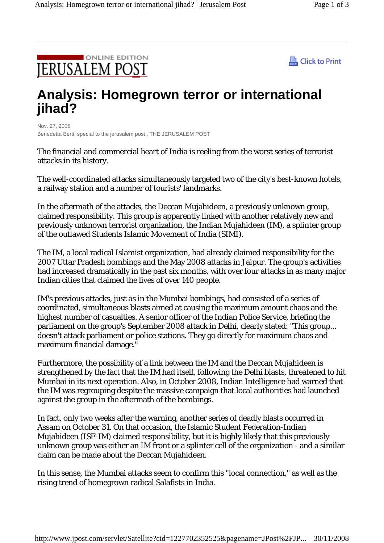



## **Analysis: Homegrown terror or international jihad?**

Nov. 27, 2008 Benedetta Berti, special to the jerusalem post , THE JERUSALEM POST

The financial and commercial heart of India is reeling from the worst series of terrorist attacks in its history.

The well-coordinated attacks simultaneously targeted two of the city's best-known hotels, a railway station and a number of tourists' landmarks.

In the aftermath of the attacks, the Deccan Mujahideen, a previously unknown group, claimed responsibility. This group is apparently linked with another relatively new and previously unknown terrorist organization, the Indian Mujahideen (IM), a splinter group of the outlawed Students Islamic Movement of India (SIMI).

The IM, a local radical Islamist organization, had already claimed responsibility for the 2007 Uttar Pradesh bombings and the May 2008 attacks in Jaipur. The group's activities had increased dramatically in the past six months, with over four attacks in as many major Indian cities that claimed the lives of over 140 people.

IM's previous attacks, just as in the Mumbai bombings, had consisted of a series of coordinated, simultaneous blasts aimed at causing the maximum amount chaos and the highest number of casualties. A senior officer of the Indian Police Service, briefing the parliament on the group's September 2008 attack in Delhi, clearly stated: "This group... doesn't attack parliament or police stations. They go directly for maximum chaos and maximum financial damage."

Furthermore, the possibility of a link between the IM and the Deccan Mujahideen is strengthened by the fact that the IM had itself, following the Delhi blasts, threatened to hit Mumbai in its next operation. Also, in October 2008, Indian Intelligence had warned that the IM was regrouping despite the massive campaign that local authorities had launched against the group in the aftermath of the bombings.

In fact, only two weeks after the warning, another series of deadly blasts occurred in Assam on October 31. On that occasion, the Islamic Student Federation-Indian Mujahideen (ISF-IM) claimed responsibility, but it is highly likely that this previously unknown group was either an IM front or a splinter cell of the organization - and a similar claim can be made about the Deccan Mujahideen.

In this sense, the Mumbai attacks seem to confirm this "local connection," as well as the rising trend of homegrown radical Salafists in India.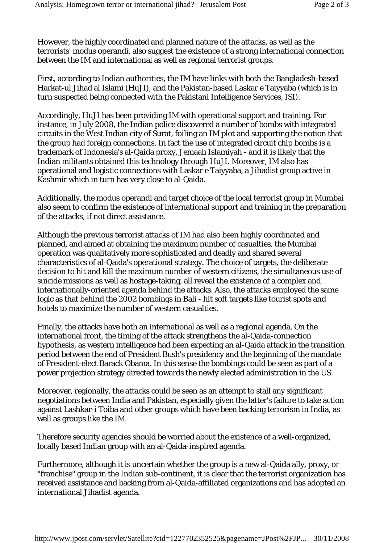However, the highly coordinated and planned nature of the attacks, as well as the terrorists' modus operandi, also suggest the existence of a strong international connection between the IM and international as well as regional terrorist groups.

First, according to Indian authorities, the IM have links with both the Bangladesh-based Harkat-ul Jihad al Islami (HuJI), and the Pakistan-based Laskar e Taiyyaba (which is in turn suspected being connected with the Pakistani Intelligence Services, ISI).

Accordingly, HuJI has been providing IM with operational support and training. For instance, in July 2008, the Indian police discovered a number of bombs with integrated circuits in the West Indian city of Surat, foiling an IM plot and supporting the notion that the group had foreign connections. In fact the use of integrated circuit chip bombs is a trademark of Indonesia's al-Qaida proxy, Jemaah Islamiyah - and it is likely that the Indian militants obtained this technology through HuJI. Moreover, IM also has operational and logistic connections with Laskar e Taiyyaba, a Jihadist group active in Kashmir which in turn has very close to al-Qaida.

Additionally, the modus operandi and target choice of the local terrorist group in Mumbai also seem to confirm the existence of international support and training in the preparation of the attacks, if not direct assistance.

Although the previous terrorist attacks of IM had also been highly coordinated and planned, and aimed at obtaining the maximum number of casualties, the Mumbai operation was qualitatively more sophisticated and deadly and shared several characteristics of al-Qaida's operational strategy. The choice of targets, the deliberate decision to hit and kill the maximum number of western citizens, the simultaneous use of suicide missions as well as hostage-taking, all reveal the existence of a complex and internationally-oriented agenda behind the attacks. Also, the attacks employed the same logic as that behind the 2002 bombings in Bali - hit soft targets like tourist spots and hotels to maximize the number of western casualties.

Finally, the attacks have both an international as well as a regional agenda. On the international front, the timing of the attack strengthens the al-Qaida-connection hypothesis, as western intelligence had been expecting an al-Qaida attack in the transition period between the end of President Bush's presidency and the beginning of the mandate of President-elect Barack Obama. In this sense the bombings could be seen as part of a power projection strategy directed towards the newly elected administration in the US.

Moreover, regionally, the attacks could be seen as an attempt to stall any significant negotiations between India and Pakistan, especially given the latter's failure to take action against Lashkar-i Toiba and other groups which have been backing terrorism in India, as well as groups like the IM.

Therefore security agencies should be worried about the existence of a well-organized, locally based Indian group with an al-Qaida-inspired agenda.

Furthermore, although it is uncertain whether the group is a new al-Qaida ally, proxy, or "franchise" group in the Indian sub-continent, it is clear that the terrorist organization has received assistance and backing from al-Qaida-affiliated organizations and has adopted an international Jihadist agenda.